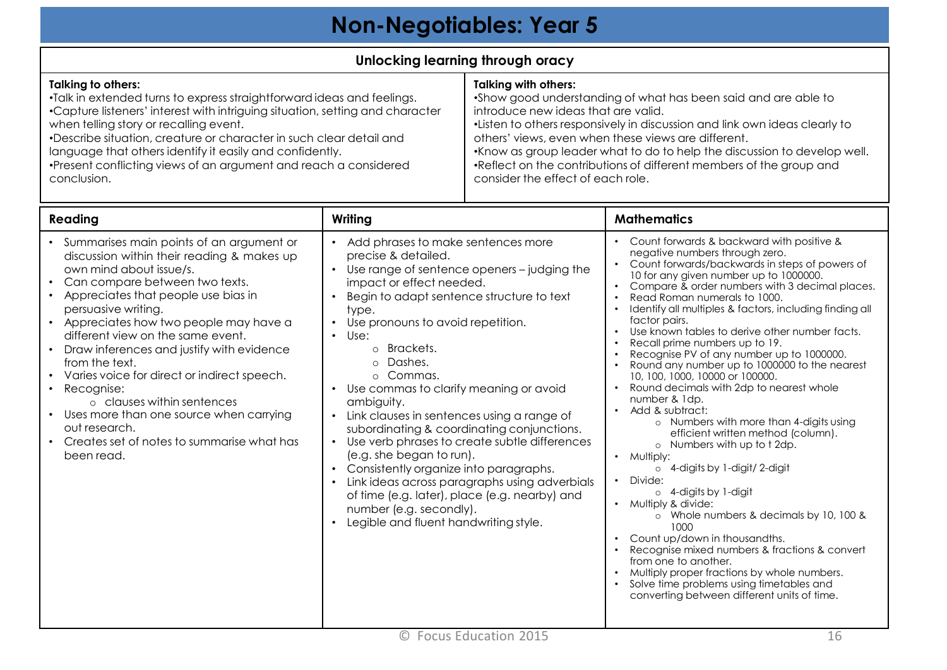## **Non-Negotiables: Year 5**

## **Unlocking learning through oracy**

## **Talking to others:** •Talk in extended turns to express straightforward ideas and feelings. •Capture listeners' interest with intriguing situation, setting and character when telling story or recalling event. •Describe situation, creature or character in such clear detail and language that others identify it easily and confidently. •Present conflicting views of an argument and reach a considered conclusion. **Talking with others:** •Show good understanding of what has been said and are able to introduce new ideas that are valid. •Listen to others responsively in discussion and link own ideas clearly to others' views, even when these views are different. •Know as group leader what to do to help the discussion to develop well. •Reflect on the contributions of different members of the group and consider the effect of each role.

| Reading                                                                                                                                                                                                                                                                                                                                                                                                                                                                                                                                                                           | Writing                                                                                                                                                                                                                                                                                                                                                                                                                                                                                                                                                                                                                                                                                                                                                 | <b>Mathematics</b>                                                                                                                                                                                                                                                                                                                                                                                                                                                                                                                                                                                                                                                                                                                                                                                                                                                                                                                                                                                                                                                                                                                                                                                                                                                                                                     |
|-----------------------------------------------------------------------------------------------------------------------------------------------------------------------------------------------------------------------------------------------------------------------------------------------------------------------------------------------------------------------------------------------------------------------------------------------------------------------------------------------------------------------------------------------------------------------------------|---------------------------------------------------------------------------------------------------------------------------------------------------------------------------------------------------------------------------------------------------------------------------------------------------------------------------------------------------------------------------------------------------------------------------------------------------------------------------------------------------------------------------------------------------------------------------------------------------------------------------------------------------------------------------------------------------------------------------------------------------------|------------------------------------------------------------------------------------------------------------------------------------------------------------------------------------------------------------------------------------------------------------------------------------------------------------------------------------------------------------------------------------------------------------------------------------------------------------------------------------------------------------------------------------------------------------------------------------------------------------------------------------------------------------------------------------------------------------------------------------------------------------------------------------------------------------------------------------------------------------------------------------------------------------------------------------------------------------------------------------------------------------------------------------------------------------------------------------------------------------------------------------------------------------------------------------------------------------------------------------------------------------------------------------------------------------------------|
| Summarises main points of an argument or<br>discussion within their reading & makes up<br>own mind about issue/s.<br>Can compare between two texts.<br>Appreciates that people use bias in<br>persuasive writing.<br>Appreciates how two people may have a<br>different view on the same event.<br>Draw inferences and justify with evidence<br>from the text.<br>Varies voice for direct or indirect speech.<br>Recognise:<br>o clauses within sentences<br>Uses more than one source when carrying<br>out research.<br>Creates set of notes to summarise what has<br>been read. | Add phrases to make sentences more<br>precise & detailed.<br>Use range of sentence openers - judging the<br>impact or effect needed.<br>Begin to adapt sentence structure to text<br>type.<br>Use pronouns to avoid repetition.<br>Use:<br>$\bullet$<br>o Brackets.<br>Dashes.<br>$\circ$<br>o Commas.<br>Use commas to clarify meaning or avoid<br>ambiguity.<br>Link clauses in sentences using a range of<br>subordinating & coordinating conjunctions.<br>Use verb phrases to create subtle differences<br>(e.g. she began to run).<br>Consistently organize into paragraphs.<br>Link ideas across paragraphs using adverbials<br>of time (e.g. later), place (e.g. nearby) and<br>number (e.g. secondly).<br>Legible and fluent handwriting style. | Count forwards & backward with positive &<br>$\bullet$<br>negative numbers through zero.<br>Count forwards/backwards in steps of powers of<br>10 for any given number up to 1000000.<br>Compare & order numbers with 3 decimal places.<br>$\bullet$<br>Read Roman numerals to 1000.<br>$\bullet$<br>Identify all multiples & factors, including finding all<br>factor pairs.<br>Use known tables to derive other number facts.<br>$\bullet$<br>Recall prime numbers up to 19.<br>$\bullet$<br>Recognise PV of any number up to 1000000.<br>Round any number up to 1000000 to the nearest<br>10, 100, 1000, 10000 or 100000.<br>Round decimals with 2dp to nearest whole<br>number & 1dp.<br>Add & subtract:<br>$\bullet$<br>o Numbers with more than 4-digits using<br>efficient written method (column).<br>o Numbers with up to t 2dp.<br>Multiply:<br>$\bullet$<br>4-digits by 1-digit/2-digit<br>$\circ$<br>Divide:<br>$\circ$ 4-digits by 1-digit<br>Multiply & divide:<br>$\bullet$<br>Whole numbers & decimals by 10, 100 &<br>$\circ$<br>1000<br>Count up/down in thousandths.<br>$\bullet$<br>Recognise mixed numbers & fractions & convert<br>from one to another.<br>Multiply proper fractions by whole numbers.<br>Solve time problems using timetables and<br>converting between different units of time. |